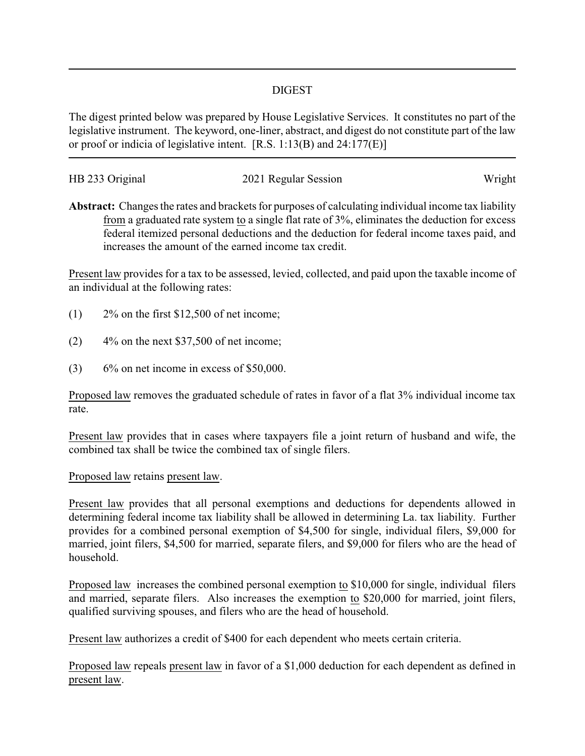## DIGEST

The digest printed below was prepared by House Legislative Services. It constitutes no part of the legislative instrument. The keyword, one-liner, abstract, and digest do not constitute part of the law or proof or indicia of legislative intent. [R.S. 1:13(B) and 24:177(E)]

| HB 233 Original | 2021 Regular Session | Wright |
|-----------------|----------------------|--------|
|                 |                      |        |

**Abstract:** Changes the rates and brackets for purposes of calculating individual income tax liability from a graduated rate system to a single flat rate of 3%, eliminates the deduction for excess federal itemized personal deductions and the deduction for federal income taxes paid, and increases the amount of the earned income tax credit.

Present law provides for a tax to be assessed, levied, collected, and paid upon the taxable income of an individual at the following rates:

- (1) 2% on the first \$12,500 of net income;
- $(2)$  4% on the next \$37,500 of net income;
- $(3)$  6% on net income in excess of \$50,000.

Proposed law removes the graduated schedule of rates in favor of a flat 3% individual income tax rate.

Present law provides that in cases where taxpayers file a joint return of husband and wife, the combined tax shall be twice the combined tax of single filers.

## Proposed law retains present law.

Present law provides that all personal exemptions and deductions for dependents allowed in determining federal income tax liability shall be allowed in determining La. tax liability. Further provides for a combined personal exemption of \$4,500 for single, individual filers, \$9,000 for married, joint filers, \$4,500 for married, separate filers, and \$9,000 for filers who are the head of household.

Proposed law increases the combined personal exemption to \$10,000 for single, individual filers and married, separate filers. Also increases the exemption to \$20,000 for married, joint filers, qualified surviving spouses, and filers who are the head of household.

Present law authorizes a credit of \$400 for each dependent who meets certain criteria.

Proposed law repeals present law in favor of a \$1,000 deduction for each dependent as defined in present law.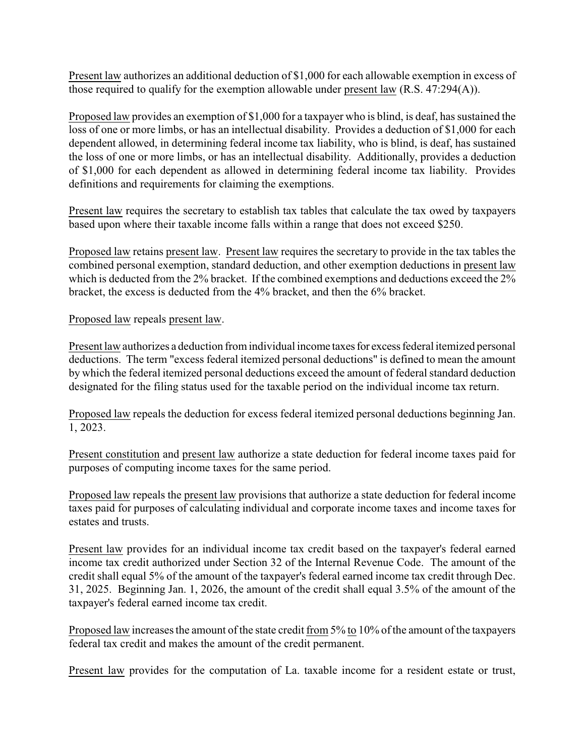Present law authorizes an additional deduction of \$1,000 for each allowable exemption in excess of those required to qualify for the exemption allowable under present law (R.S. 47:294(A)).

Proposed law provides an exemption of \$1,000 for a taxpayer who is blind, is deaf, has sustained the loss of one or more limbs, or has an intellectual disability. Provides a deduction of \$1,000 for each dependent allowed, in determining federal income tax liability, who is blind, is deaf, has sustained the loss of one or more limbs, or has an intellectual disability. Additionally, provides a deduction of \$1,000 for each dependent as allowed in determining federal income tax liability. Provides definitions and requirements for claiming the exemptions.

Present law requires the secretary to establish tax tables that calculate the tax owed by taxpayers based upon where their taxable income falls within a range that does not exceed \$250.

Proposed law retains present law. Present law requires the secretary to provide in the tax tables the combined personal exemption, standard deduction, and other exemption deductions in present law which is deducted from the 2% bracket. If the combined exemptions and deductions exceed the 2% bracket, the excess is deducted from the 4% bracket, and then the 6% bracket.

## Proposed law repeals present law.

Present law authorizes a deduction from individual income taxes for excess federal itemized personal deductions. The term "excess federal itemized personal deductions" is defined to mean the amount by which the federal itemized personal deductions exceed the amount of federal standard deduction designated for the filing status used for the taxable period on the individual income tax return.

Proposed law repeals the deduction for excess federal itemized personal deductions beginning Jan. 1, 2023.

Present constitution and present law authorize a state deduction for federal income taxes paid for purposes of computing income taxes for the same period.

Proposed law repeals the present law provisions that authorize a state deduction for federal income taxes paid for purposes of calculating individual and corporate income taxes and income taxes for estates and trusts.

Present law provides for an individual income tax credit based on the taxpayer's federal earned income tax credit authorized under Section 32 of the Internal Revenue Code. The amount of the credit shall equal 5% of the amount of the taxpayer's federal earned income tax credit through Dec. 31, 2025. Beginning Jan. 1, 2026, the amount of the credit shall equal 3.5% of the amount of the taxpayer's federal earned income tax credit.

Proposed law increases the amount of the state credit from 5% to 10% of the amount of the taxpayers federal tax credit and makes the amount of the credit permanent.

Present law provides for the computation of La. taxable income for a resident estate or trust,